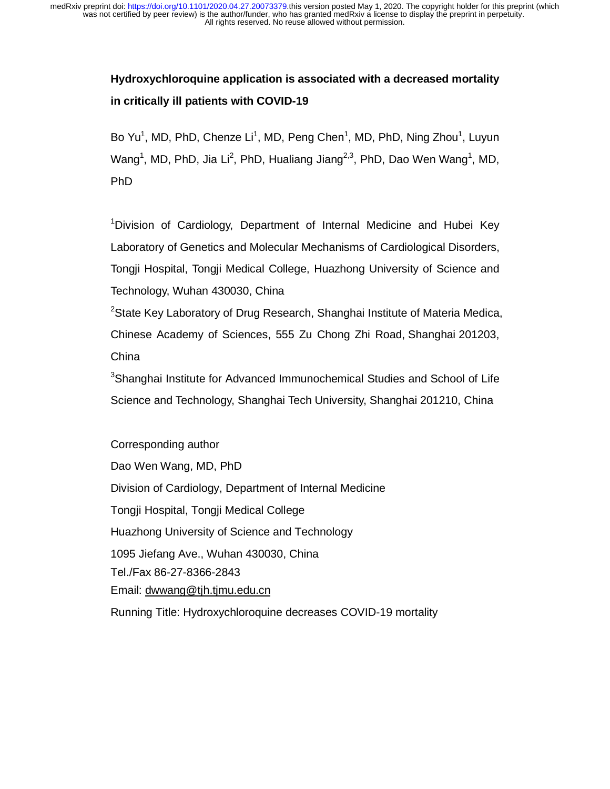# **Hydroxychloroquine application is associated with a decreased mortality in critically ill patients with COVID-19**

Bo Yu<sup>1</sup>, MD, PhD, Chenze Li<sup>1</sup>, MD, Peng Chen<sup>1</sup>, MD, PhD, Ning Zhou<sup>1</sup>, Luyun Wang<sup>1</sup>, MD, PhD, Jia Li<sup>2</sup>, PhD, Hualiang Jiang<sup>2,3</sup>, PhD, Dao Wen Wang<sup>1</sup>, MD, PhD

<sup>1</sup>Division of Cardiology, Department of Internal Medicine and Hubei Key Laboratory of Genetics and Molecular Mechanisms of Cardiological Disorders, Tongji Hospital, Tongji Medical College, Huazhong University of Science and Technology, Wuhan 430030, China

<sup>2</sup>State Key Laboratory of Drug Research, Shanghai Institute of Materia Medica, Chinese Academy of Sciences, 555 Zu Chong Zhi Road, Shanghai 201203, China

<sup>3</sup>Shanghai Institute for Advanced Immunochemical Studies and School of Life Science and Technology, Shanghai Tech University, Shanghai 201210, China

Corresponding author Dao Wen Wang, MD, PhD Division of Cardiology, Department of Internal Medicine Tongji Hospital, Tongji Medical College Huazhong University of Science and Technology 1095 Jiefang Ave., Wuhan 430030, China Tel./Fax 86-27-8366-2843 Email: dwwang@tjh.tjmu.edu.cn

Running Title: Hydroxychloroquine decreases COVID-19 mortality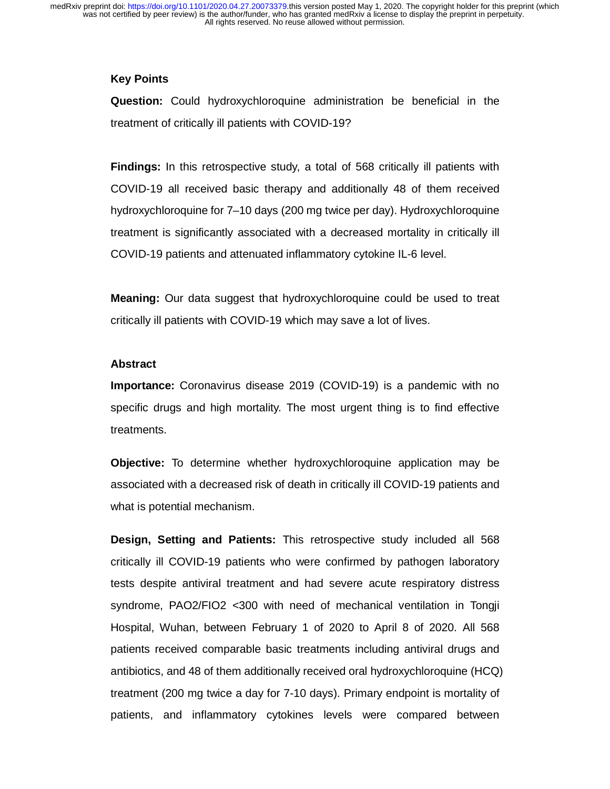# **Key Points**

**Question:** Could hydroxychloroquine administration be beneficial in the treatment of critically ill patients with COVID-19?

**Findings:** In this retrospective study, a total of 568 critically ill patients with COVID-19 all received basic therapy and additionally 48 of them received hydroxychloroquine for 7–10 days (200 mg twice per day). Hydroxychloroquine treatment is significantly associated with a decreased mortality in critically ill COVID-19 patients and attenuated inflammatory cytokine IL-6 level.

**Meaning:** Our data suggest that hydroxychloroquine could be used to treat critically ill patients with COVID-19 which may save a lot of lives.

#### **Abstract**

**Importance:** Coronavirus disease 2019 (COVID-19) is a pandemic with no specific drugs and high mortality. The most urgent thing is to find effective treatments.

**Objective:** To determine whether hydroxychloroquine application may be associated with a decreased risk of death in critically ill COVID-19 patients and what is potential mechanism.

**Design, Setting and Patients:** This retrospective study included all 568 critically ill COVID-19 patients who were confirmed by pathogen laboratory tests despite antiviral treatment and had severe acute respiratory distress syndrome, PAO2/FIO2 <300 with need of mechanical ventilation in Tongji Hospital, Wuhan, between February 1 of 2020 to April 8 of 2020. All 568 patients received comparable basic treatments including antiviral drugs and antibiotics, and 48 of them additionally received oral hydroxychloroquine (HCQ) treatment (200 mg twice a day for 7-10 days). Primary endpoint is mortality of patients, and inflammatory cytokines levels were compared between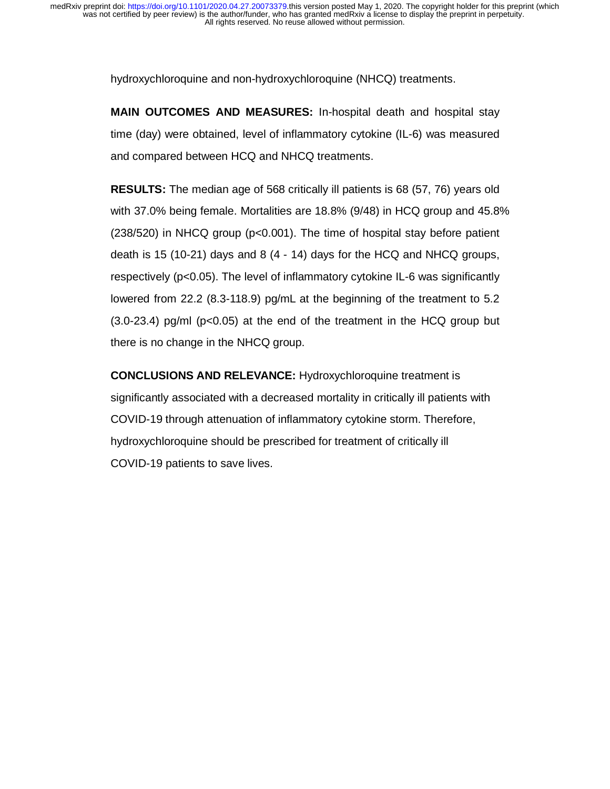hydroxychloroquine and non-hydroxychloroquine (NHCQ) treatments.

**MAIN OUTCOMES AND MEASURES:** In-hospital death and hospital stay time (day) were obtained, level of inflammatory cytokine (IL-6) was measured and compared between HCQ and NHCQ treatments.

**RESULTS:** The median age of 568 critically ill patients is 68 (57, 76) years old with 37.0% being female. Mortalities are 18.8% (9/48) in HCQ group and 45.8% (238/520) in NHCQ group (p<0.001). The time of hospital stay before patient death is 15 (10-21) days and 8 (4 - 14) days for the HCQ and NHCQ groups, respectively (p<0.05). The level of inflammatory cytokine IL-6 was significantly lowered from 22.2 (8.3-118.9) pg/mL at the beginning of the treatment to 5.2 (3.0-23.4) pg/ml (p<0.05) at the end of the treatment in the HCQ group but there is no change in the NHCQ group.

**CONCLUSIONS AND RELEVANCE:** Hydroxychloroquine treatment is significantly associated with a decreased mortality in critically ill patients with COVID-19 through attenuation of inflammatory cytokine storm. Therefore, hydroxychloroquine should be prescribed for treatment of critically ill COVID-19 patients to save lives.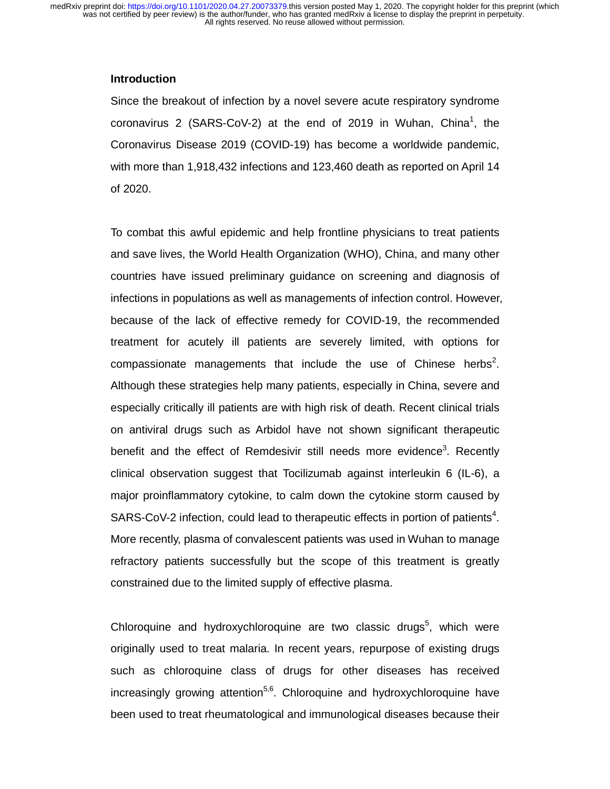# **Introduction**

Since the breakout of infection by a novel severe acute respiratory syndrome coronavirus 2 (SARS-CoV-2) at the end of 2019 in Wuhan, China<sup>1</sup>, the Coronavirus Disease 2019 (COVID-19) has become a worldwide pandemic, with more than 1,918,432 infections and 123,460 death as reported on April 14 of 2020.

To combat this awful epidemic and help frontline physicians to treat patients and save lives, the World Health Organization (WHO), China, and many other countries have issued preliminary guidance on screening and diagnosis of infections in populations as well as managements of infection control. However, because of the lack of effective remedy for COVID-19, the recommended treatment for acutely ill patients are severely limited, with options for compassionate managements that include the use of Chinese herbs<sup>2</sup>. Although these strategies help many patients, especially in China, severe and especially critically ill patients are with high risk of death. Recent clinical trials on antiviral drugs such as Arbidol have not shown significant therapeutic benefit and the effect of Remdesivir still needs more evidence<sup>3</sup>. Recently clinical observation suggest that Tocilizumab against interleukin 6 (IL-6), a major proinflammatory cytokine, to calm down the cytokine storm caused by SARS-CoV-2 infection, could lead to therapeutic effects in portion of patients<sup>4</sup>. More recently, plasma of convalescent patients was used in Wuhan to manage refractory patients successfully but the scope of this treatment is greatly constrained due to the limited supply of effective plasma.

Chloroquine and hydroxychloroquine are two classic drugs<sup>5</sup>, which were originally used to treat malaria. In recent years, repurpose of existing drugs such as chloroquine class of drugs for other diseases has received increasingly growing attention<sup>5,6</sup>. Chloroquine and hydroxychloroquine have been used to treat rheumatological and immunological diseases because their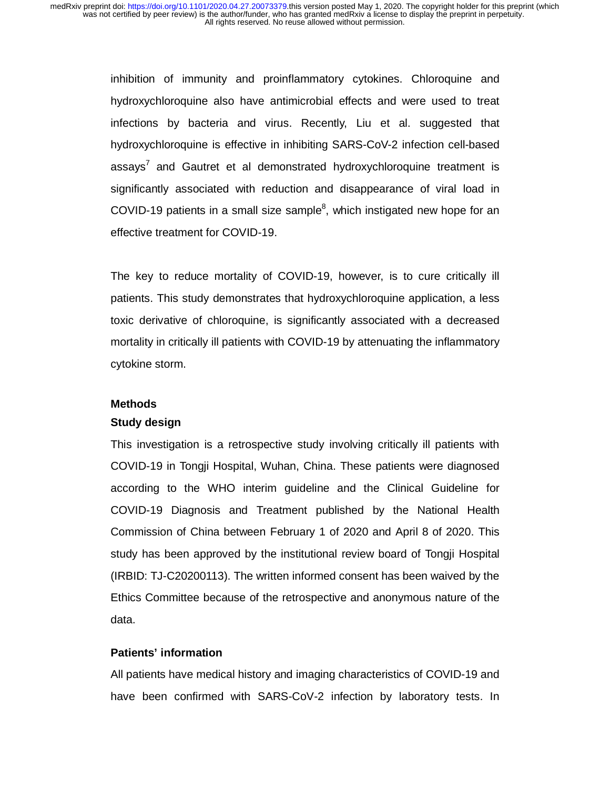> inhibition of immunity and proinflammatory cytokines. Chloroquine and hydroxychloroquine also have antimicrobial effects and were used to treat infections by bacteria and virus. Recently, Liu et al. suggested that hydroxychloroquine is effective in inhibiting SARS-CoV-2 infection cell-based assays<sup>7</sup> and Gautret et al demonstrated hydroxychloroquine treatment is significantly associated with reduction and disappearance of viral load in COVID-19 patients in a small size sample $8$ , which instigated new hope for an effective treatment for COVID-19.

> The key to reduce mortality of COVID-19, however, is to cure critically ill patients. This study demonstrates that hydroxychloroquine application, a less toxic derivative of chloroquine, is significantly associated with a decreased mortality in critically ill patients with COVID-19 by attenuating the inflammatory cytokine storm.

#### **Methods**

#### **Study design**

This investigation is a retrospective study involving critically ill patients with COVID-19 in Tongji Hospital, Wuhan, China. These patients were diagnosed according to the WHO interim guideline and the Clinical Guideline for COVID-19 Diagnosis and Treatment published by the National Health Commission of China between February 1 of 2020 and April 8 of 2020. This study has been approved by the institutional review board of Tongji Hospital (IRBID: TJ-C20200113). The written informed consent has been waived by the Ethics Committee because of the retrospective and anonymous nature of the data.

## **Patients' information**

All patients have medical history and imaging characteristics of COVID-19 and have been confirmed with SARS-CoV-2 infection by laboratory tests. In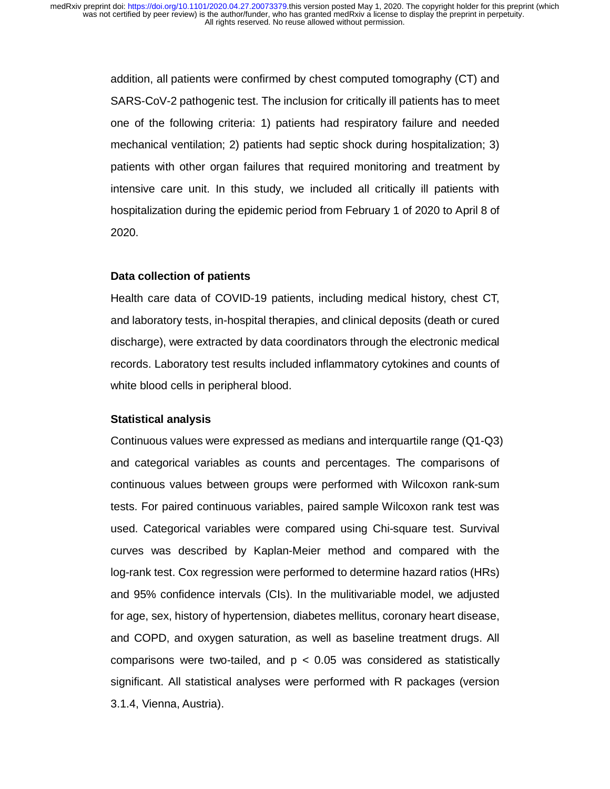addition, all patients were confirmed by chest computed tomography (CT) and SARS-CoV-2 pathogenic test. The inclusion for critically ill patients has to meet one of the following criteria: 1) patients had respiratory failure and needed mechanical ventilation; 2) patients had septic shock during hospitalization; 3) patients with other organ failures that required monitoring and treatment by intensive care unit. In this study, we included all critically ill patients with hospitalization during the epidemic period from February 1 of 2020 to April 8 of 2020.

# **Data collection of patients**

Health care data of COVID-19 patients, including medical history, chest CT, and laboratory tests, in-hospital therapies, and clinical deposits (death or cured discharge), were extracted by data coordinators through the electronic medical records. Laboratory test results included inflammatory cytokines and counts of white blood cells in peripheral blood.

# **Statistical analysis**

Continuous values were expressed as medians and interquartile range (Q1-Q3) and categorical variables as counts and percentages. The comparisons of continuous values between groups were performed with Wilcoxon rank-sum tests. For paired continuous variables, paired sample Wilcoxon rank test was used. Categorical variables were compared using Chi-square test. Survival curves was described by Kaplan-Meier method and compared with the log-rank test. Cox regression were performed to determine hazard ratios (HRs) and 95% confidence intervals (CIs). In the mulitivariable model, we adjusted for age, sex, history of hypertension, diabetes mellitus, coronary heart disease, and COPD, and oxygen saturation, as well as baseline treatment drugs. All comparisons were two-tailed, and  $p < 0.05$  was considered as statistically significant. All statistical analyses were performed with R packages (version 3.1.4, Vienna, Austria).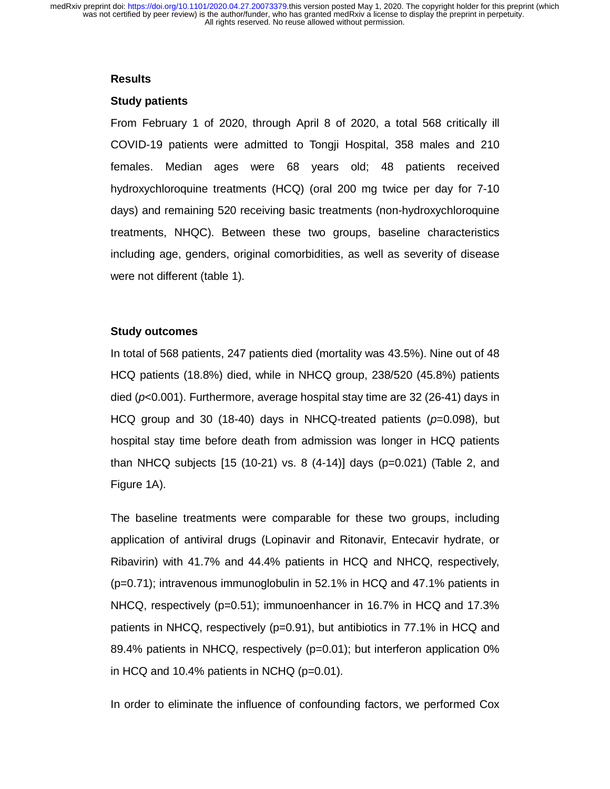#### **Results**

#### **Study patients**

From February 1 of 2020, through April 8 of 2020, a total 568 critically ill COVID-19 patients were admitted to Tongji Hospital, 358 males and 210 females. Median ages were 68 years old; 48 patients received hydroxychloroquine treatments (HCQ) (oral 200 mg twice per day for 7-10 days) and remaining 520 receiving basic treatments (non-hydroxychloroquine treatments, NHQC). Between these two groups, baseline characteristics including age, genders, original comorbidities, as well as severity of disease were not different (table 1).

# **Study outcomes**

In total of 568 patients, 247 patients died (mortality was 43.5%). Nine out of 48 HCQ patients (18.8%) died, while in NHCQ group, 238/520 (45.8%) patients died (*p*<0.001). Furthermore, average hospital stay time are 32 (26-41) days in HCQ group and 30 (18-40) days in NHCQ-treated patients (*p*=0.098), but hospital stay time before death from admission was longer in HCQ patients than NHCQ subjects [15 (10-21) vs. 8 (4-14)] days (p=0.021) (Table 2, and Figure 1A).

The baseline treatments were comparable for these two groups, including application of antiviral drugs (Lopinavir and Ritonavir, Entecavir hydrate, or Ribavirin) with 41.7% and 44.4% patients in HCQ and NHCQ, respectively, (p=0.71); intravenous immunoglobulin in 52.1% in HCQ and 47.1% patients in NHCQ, respectively (p=0.51); immunoenhancer in 16.7% in HCQ and 17.3% patients in NHCQ, respectively (p=0.91), but antibiotics in 77.1% in HCQ and 89.4% patients in NHCQ, respectively (p=0.01); but interferon application 0% in HCQ and 10.4% patients in NCHQ (p=0.01).

In order to eliminate the influence of confounding factors, we performed Cox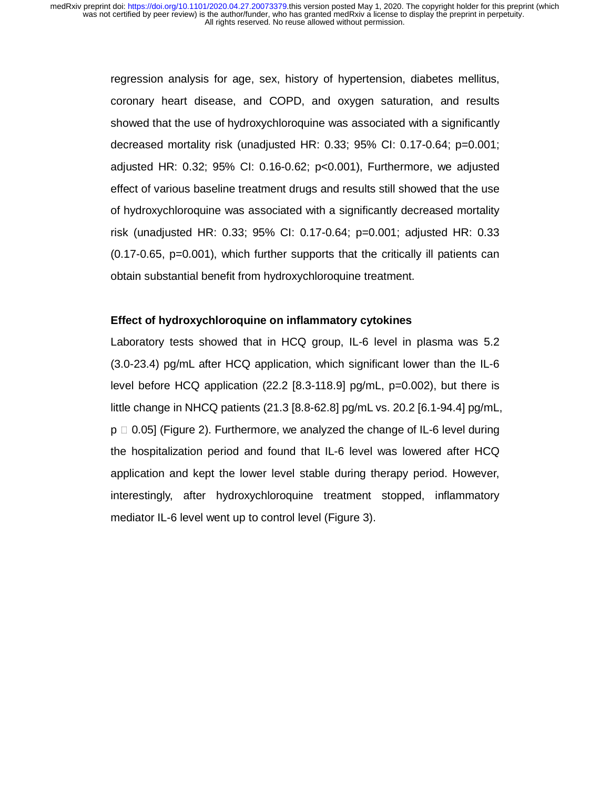> regression analysis for age, sex, history of hypertension, diabetes mellitus, coronary heart disease, and COPD, and oxygen saturation, and results showed that the use of hydroxychloroquine was associated with a significantly decreased mortality risk (unadjusted HR: 0.33; 95% CI: 0.17-0.64; p=0.001; adjusted HR: 0.32; 95% CI: 0.16-0.62; p<0.001), Furthermore, we adjusted effect of various baseline treatment drugs and results still showed that the use of hydroxychloroquine was associated with a significantly decreased mortality risk (unadjusted HR: 0.33; 95% CI: 0.17-0.64; p=0.001; adjusted HR: 0.33 (0.17-0.65, p=0.001), which further supports that the critically ill patients can obtain substantial benefit from hydroxychloroquine treatment.

## **Effect of hydroxychloroquine on inflammatory cytokines**

Laboratory tests showed that in HCQ group, IL-6 level in plasma was 5.2 (3.0-23.4) pg/mL after HCQ application, which significant lower than the IL-6 level before HCQ application (22.2 [8.3-118.9] pg/mL, p=0.002), but there is little change in NHCQ patients (21.3 [8.8-62.8] pg/mL vs. 20.2 [6.1-94.4] pg/mL,  $p \Box 0.05$ ] (Figure 2). Furthermore, we analyzed the change of IL-6 level during the hospitalization period and found that IL-6 level was lowered after HCQ application and kept the lower level stable during therapy period. However, interestingly, after hydroxychloroquine treatment stopped, inflammatory mediator IL-6 level went up to control level (Figure 3).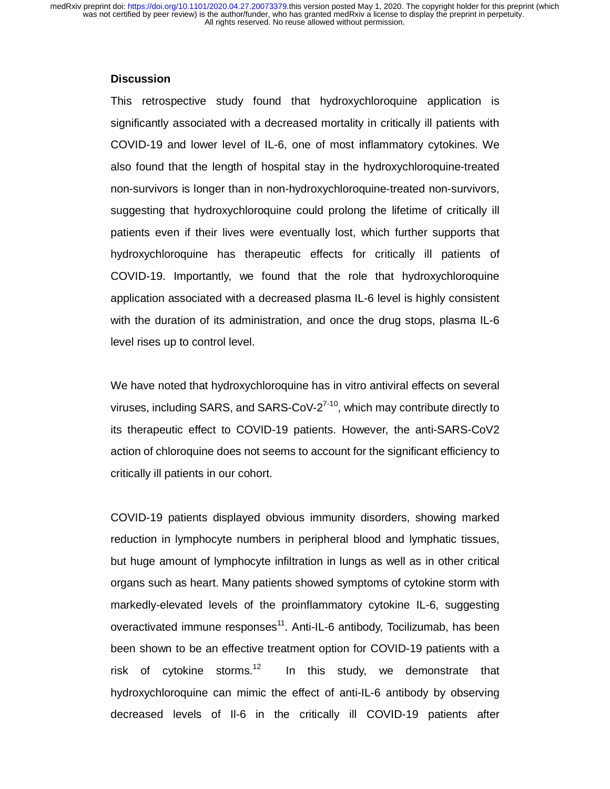## **Discussion**

This retrospective study found that hydroxychloroquine application is significantly associated with a decreased mortality in critically ill patients with COVID-19 and lower level of IL-6, one of most inflammatory cytokines. We also found that the length of hospital stay in the hydroxychloroquine-treated non-survivors is longer than in non-hydroxychloroquine-treated non-survivors, suggesting that hydroxychloroquine could prolong the lifetime of critically ill patients even if their lives were eventually lost, which further supports that hydroxychloroquine has therapeutic effects for critically ill patients of COVID-19. Importantly, we found that the role that hydroxychloroquine application associated with a decreased plasma IL-6 level is highly consistent with the duration of its administration, and once the drug stops, plasma IL-6 level rises up to control level.

We have noted that hydroxychloroquine has in vitro antiviral effects on several viruses, including SARS, and SARS-CoV- $2^{7-10}$ , which may contribute directly to its therapeutic effect to COVID-19 patients. However, the anti-SARS-CoV2 action of chloroquine does not seems to account for the significant efficiency to critically ill patients in our cohort.

COVID-19 patients displayed obvious immunity disorders, showing marked reduction in lymphocyte numbers in peripheral blood and lymphatic tissues, but huge amount of lymphocyte infiltration in lungs as well as in other critical organs such as heart. Many patients showed symptoms of cytokine storm with markedly-elevated levels of the proinflammatory cytokine IL-6, suggesting overactivated immune responses<sup>11</sup>. Anti-IL-6 antibody, Tocilizumab, has been been shown to be an effective treatment option for COVID-19 patients with a risk of cytokine storms.<sup>12</sup> In this study, we demonstrate that hydroxychloroquine can mimic the effect of anti-IL-6 antibody by observing decreased levels of Il-6 in the critically ill COVID-19 patients after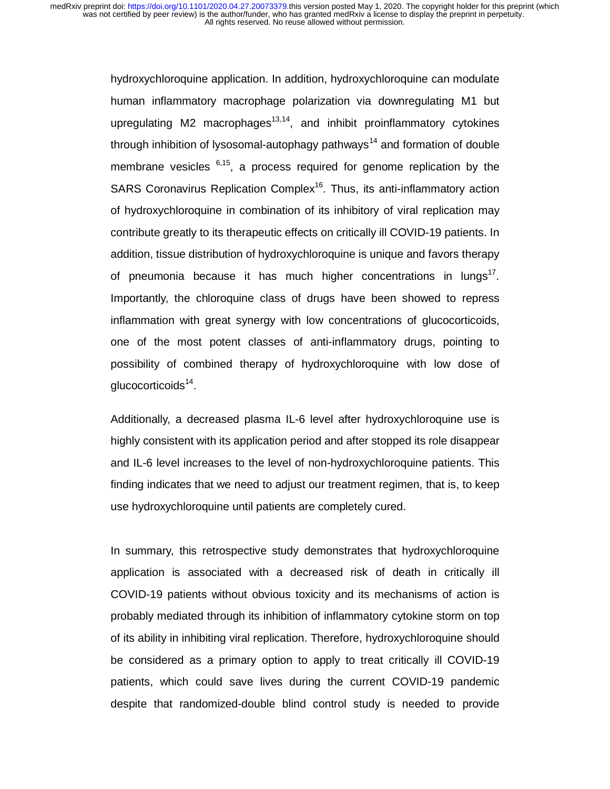hydroxychloroquine application. In addition, hydroxychloroquine can modulate human inflammatory macrophage polarization via downregulating M1 but upregulating  $M2$  macrophages<sup>13,14</sup>, and inhibit proinflammatory cytokines through inhibition of lysosomal-autophagy pathways<sup>14</sup> and formation of double membrane vesicles  $6,15$ , a process required for genome replication by the SARS Coronavirus Replication Complex<sup>16</sup>. Thus, its anti-inflammatory action of hydroxychloroquine in combination of its inhibitory of viral replication may contribute greatly to its therapeutic effects on critically ill COVID-19 patients. In addition, tissue distribution of hydroxychloroquine is unique and favors therapy of pneumonia because it has much higher concentrations in lungs $<sup>1</sup>$ .</sup> Importantly, the chloroquine class of drugs have been showed to repress inflammation with great synergy with low concentrations of glucocorticoids, one of the most potent classes of anti-inflammatory drugs, pointing to possibility of combined therapy of hydroxychloroquine with low dose of glucocorticoids $14$ .

Additionally, a decreased plasma IL-6 level after hydroxychloroquine use is highly consistent with its application period and after stopped its role disappear and IL-6 level increases to the level of non-hydroxychloroquine patients. This finding indicates that we need to adjust our treatment regimen, that is, to keep use hydroxychloroquine until patients are completely cured.

In summary, this retrospective study demonstrates that hydroxychloroquine application is associated with a decreased risk of death in critically ill COVID-19 patients without obvious toxicity and its mechanisms of action is probably mediated through its inhibition of inflammatory cytokine storm on top of its ability in inhibiting viral replication. Therefore, hydroxychloroquine should be considered as a primary option to apply to treat critically ill COVID-19 patients, which could save lives during the current COVID-19 pandemic despite that randomized-double blind control study is needed to provide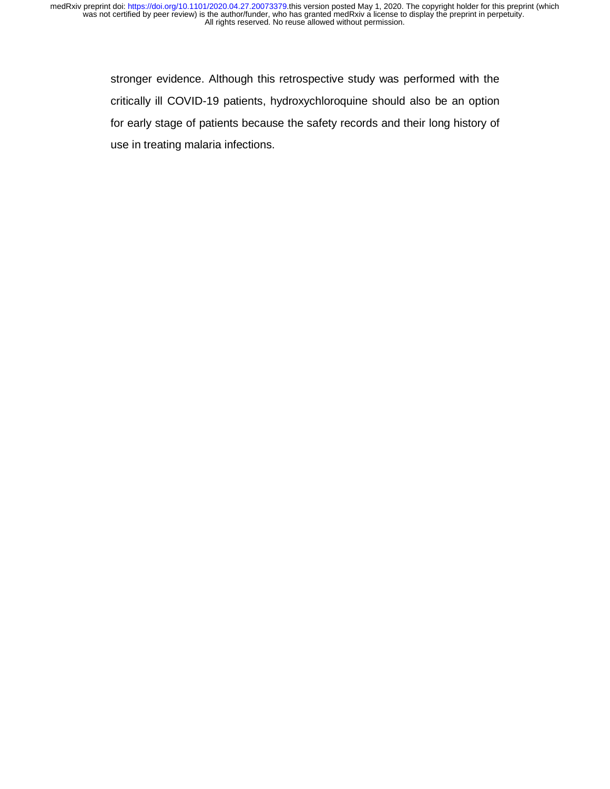> stronger evidence. Although this retrospective study was performed with the critically ill COVID-19 patients, hydroxychloroquine should also be an option for early stage of patients because the safety records and their long history of use in treating malaria infections.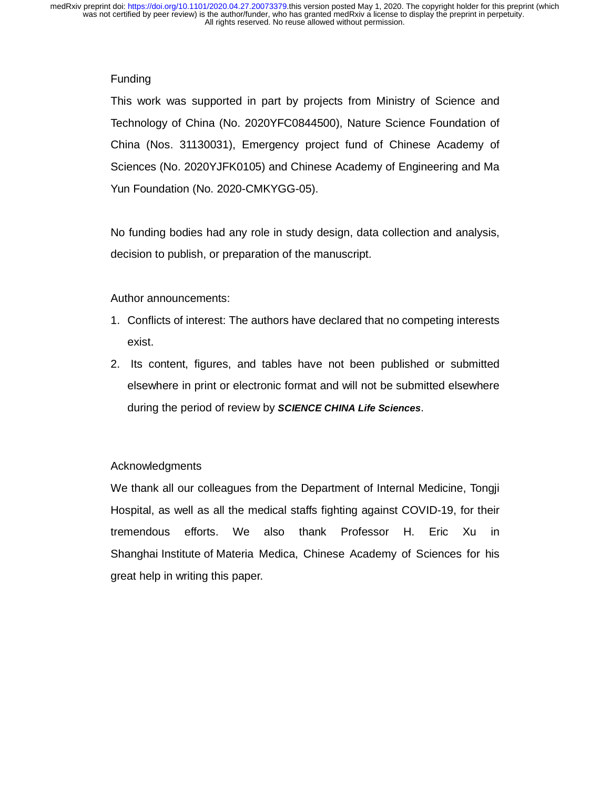# **Funding**

This work was supported in part by projects from Ministry of Science and Technology of China (No. 2020YFC0844500), Nature Science Foundation of China (Nos. 31130031), Emergency project fund of Chinese Academy of Sciences (No. 2020YJFK0105) and Chinese Academy of Engineering and Ma Yun Foundation (No. 2020-CMKYGG-05).

No funding bodies had any role in study design, data collection and analysis, decision to publish, or preparation of the manuscript.

# Author announcements:

- 1. Conflicts of interest: The authors have declared that no competing interests exist.
- 2. Its content, figures, and tables have not been published or submitted elsewhere in print or electronic format and will not be submitted elsewhere during the period of review by *SCIENCE CHINA Life Sciences*.

# Acknowledgments

We thank all our colleagues from the Department of Internal Medicine, Tongji Hospital, as well as all the medical staffs fighting against COVID-19, for their tremendous efforts. We also thank Professor H. Eric Xu in Shanghai Institute of Materia Medica, Chinese Academy of Sciences for his great help in writing this paper.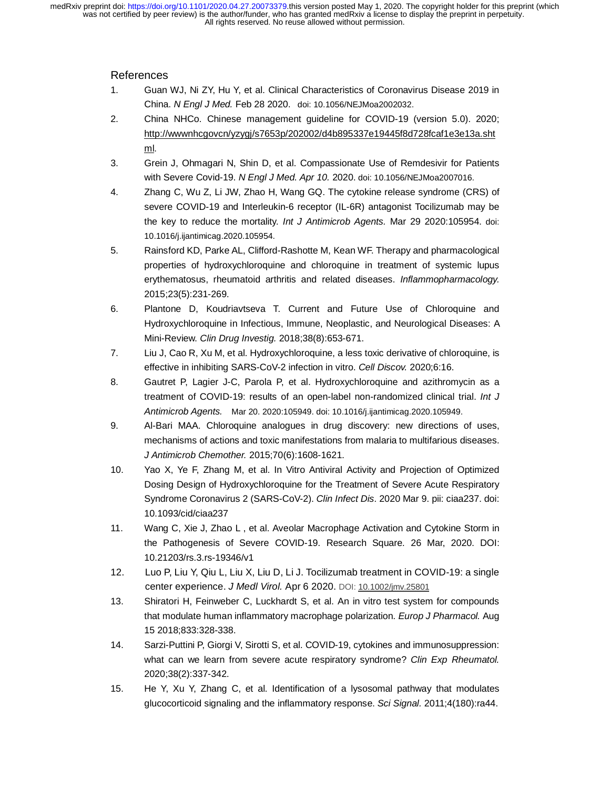### References

- 1. Guan WJ, Ni ZY, Hu Y, et al. Clinical Characteristics of Coronavirus Disease 2019 in China. *N Engl J Med.* Feb 28 2020. doi: 10.1056/NEJMoa2002032.
- 2. China NHCo. Chinese management guideline for COVID-19 (version 5.0). 2020; http://wwwnhcgovcn/yzygj/s7653p/202002/d4b895337e19445f8d728fcaf1e3e13a.sht <u>ml</u>.
- 3. Grein J, Ohmagari N, Shin D, et al. Compassionate Use of Remdesivir for Patients with Severe Covid-19. *N Engl J Med. Apr 10.* 2020. doi: 10.1056/NEJMoa2007016.
- 4. Zhang C, Wu Z, Li JW, Zhao H, Wang GQ. The cytokine release syndrome (CRS) of severe COVID-19 and Interleukin-6 receptor (IL-6R) antagonist Tocilizumab may be the key to reduce the mortality. *Int J Antimicrob Agents.* Mar 29 2020:105954. doi: 10.1016/j.ijantimicag.2020.105954.
- 5. Rainsford KD, Parke AL, Clifford-Rashotte M, Kean WF. Therapy and pharmacological properties of hydroxychloroquine and chloroquine in treatment of systemic lupus erythematosus, rheumatoid arthritis and related diseases. *Inflammopharmacology.*  2015;23(5):231-269.
- 6. Plantone D, Koudriavtseva T. Current and Future Use of Chloroquine and Hydroxychloroquine in Infectious, Immune, Neoplastic, and Neurological Diseases: A Mini-Review. *Clin Drug Investig.* 2018;38(8):653-671.
- 7. Liu J, Cao R, Xu M, et al. Hydroxychloroquine, a less toxic derivative of chloroquine, is effective in inhibiting SARS-CoV-2 infection in vitro. *Cell Discov.* 2020;6:16.
- 8. Gautret P, Lagier J-C, Parola P, et al. Hydroxychloroquine and azithromycin as a treatment of COVID-19: results of an open-label non-randomized clinical trial. *Int J Antimicrob Agents.* Mar 20. 2020:105949. doi: 10.1016/j.ijantimicag.2020.105949.
- 9. Al-Bari MAA. Chloroquine analogues in drug discovery: new directions of uses, mechanisms of actions and toxic manifestations from malaria to multifarious diseases. *J Antimicrob Chemother.* 2015;70(6):1608-1621.
- 10. Yao X, Ye F, Zhang M, et al. In Vitro Antiviral Activity and Projection of Optimized Dosing Design of Hydroxychloroquine for the Treatment of Severe Acute Respiratory Syndrome Coronavirus 2 (SARS-CoV-2). *Clin Infect Dis*. 2020 Mar 9. pii: ciaa237. doi: 10.1093/cid/ciaa237
- 11. Wang C, Xie J, Zhao L , et al. Aveolar Macrophage Activation and Cytokine Storm in the Pathogenesis of Severe COVID-19. Research Square. 26 Mar, 2020. DOI: 10.21203/rs.3.rs-19346/v1
- 12. Luo P, Liu Y, Qiu L, Liu X, Liu D, Li J. Tocilizumab treatment in COVID-19: a single center experience. *J Medl Virol.* Apr 6 2020. DOI: 10.1002/jmv.25801
- 13. Shiratori H, Feinweber C, Luckhardt S, et al. An in vitro test system for compounds that modulate human inflammatory macrophage polarization. *Europ J Pharmacol.* Aug 15 2018;833:328-338.
- 14. Sarzi-Puttini P, Giorgi V, Sirotti S, et al. COVID-19, cytokines and immunosuppression: what can we learn from severe acute respiratory syndrome? *Clin Exp Rheumatol.*  2020;38(2):337-342.
- 15. He Y, Xu Y, Zhang C, et al. Identification of a lysosomal pathway that modulates glucocorticoid signaling and the inflammatory response. *Sci Signal.* 2011;4(180):ra44.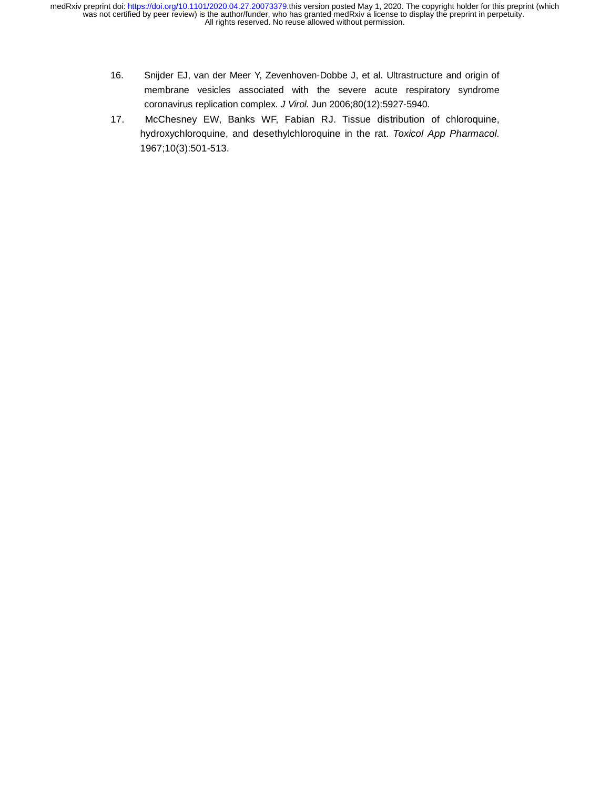- 16. Snijder EJ, van der Meer Y, Zevenhoven-Dobbe J, et al. Ultrastructure and origin of membrane vesicles associated with the severe acute respiratory syndrome coronavirus replication complex. *J Virol.* Jun 2006;80(12):5927-5940.
- 17. McChesney EW, Banks WF, Fabian RJ. Tissue distribution of chloroquine, hydroxychloroquine, and desethylchloroquine in the rat. *Toxicol App Pharmacol.*  1967;10(3):501-513.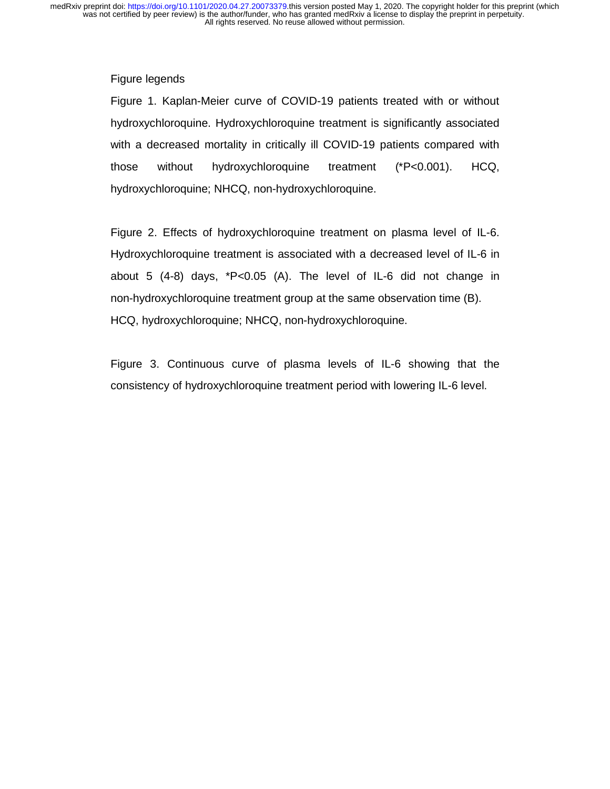### Figure legends

Figure 1. Kaplan-Meier curve of COVID-19 patients treated with or without hydroxychloroquine. Hydroxychloroquine treatment is significantly associated with a decreased mortality in critically ill COVID-19 patients compared with those without hydroxychloroquine treatment (\*P<0.001). HCQ, hydroxychloroquine; NHCQ, non-hydroxychloroquine.

Figure 2. Effects of hydroxychloroquine treatment on plasma level of IL-6. Hydroxychloroquine treatment is associated with a decreased level of IL-6 in about 5 (4-8) days, \*P<0.05 (A). The level of IL-6 did not change in non-hydroxychloroquine treatment group at the same observation time (B). HCQ, hydroxychloroquine; NHCQ, non-hydroxychloroquine.

Figure 3. Continuous curve of plasma levels of IL-6 showing that the consistency of hydroxychloroquine treatment period with lowering IL-6 level.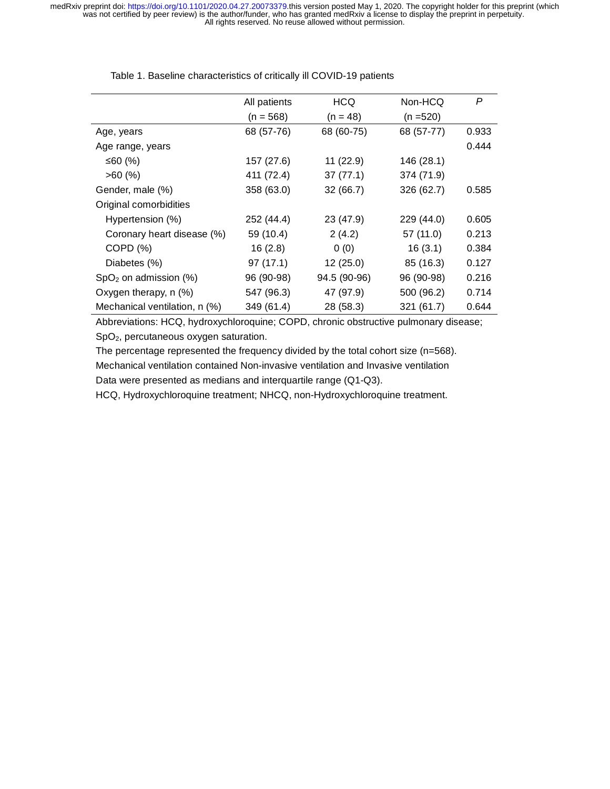|                               | All patients | <b>HCQ</b>   | Non-HCQ    | P     |
|-------------------------------|--------------|--------------|------------|-------|
|                               | $(n = 568)$  | $(n = 48)$   | (n =520)   |       |
| Age, years                    | 68 (57-76)   | 68 (60-75)   | 68 (57-77) | 0.933 |
| Age range, years              |              |              |            | 0.444 |
| ≤60 $(%)$                     | 157 (27.6)   | 11 (22.9)    | 146 (28.1) |       |
| $>60$ (%)                     | 411 (72.4)   | 37(77.1)     | 374 (71.9) |       |
| Gender, male (%)              | 358 (63.0)   | 32(66.7)     | 326 (62.7) | 0.585 |
| Original comorbidities        |              |              |            |       |
| Hypertension (%)              | 252 (44.4)   | 23 (47.9)    | 229 (44.0) | 0.605 |
| Coronary heart disease (%)    | 59 (10.4)    | 2(4.2)       | 57 (11.0)  | 0.213 |
| COPD (%)                      | 16(2.8)      | 0(0)         | 16(3.1)    | 0.384 |
| Diabetes (%)                  | 97(17.1)     | 12(25.0)     | 85 (16.3)  | 0.127 |
| $SpO2$ on admission (%)       | 96 (90-98)   | 94.5 (90-96) | 96 (90-98) | 0.216 |
| Oxygen therapy, n (%)         | 547 (96.3)   | 47 (97.9)    | 500 (96.2) | 0.714 |
| Mechanical ventilation, n (%) | 349 (61.4)   | 28 (58.3)    | 321 (61.7) | 0.644 |

Table 1. Baseline characteristics of critically ill COVID-19 patients

Abbreviations: HCQ, hydroxychloroquine; COPD, chronic obstructive pulmonary disease; SpO2, percutaneous oxygen saturation.

The percentage represented the frequency divided by the total cohort size (n=568).

Mechanical ventilation contained Non-invasive ventilation and Invasive ventilation

Data were presented as medians and interquartile range (Q1-Q3).

HCQ, Hydroxychloroquine treatment; NHCQ, non-Hydroxychloroquine treatment.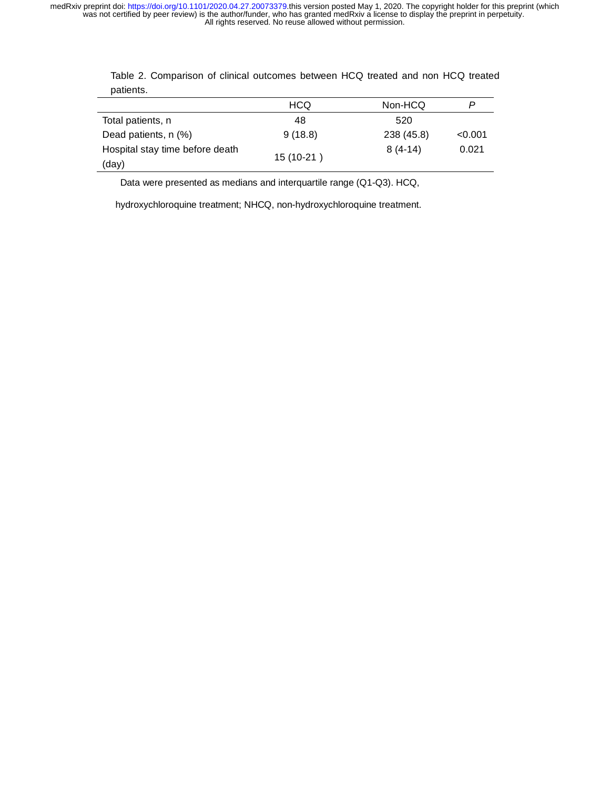|                                 | <b>HCQ</b> | Non-HCQ    |         |
|---------------------------------|------------|------------|---------|
| Total patients, n               | 48         | 520        |         |
| Dead patients, n (%)            | 9(18.8)    | 238 (45.8) | < 0.001 |
| Hospital stay time before death | 15 (10-21) | $8(4-14)$  | 0.021   |
| (day)                           |            |            |         |

Table 2. Comparison of clinical outcomes between HCQ treated and non HCQ treated patients.

Data were presented as medians and interquartile range (Q1-Q3). HCQ,

hydroxychloroquine treatment; NHCQ, non-hydroxychloroquine treatment.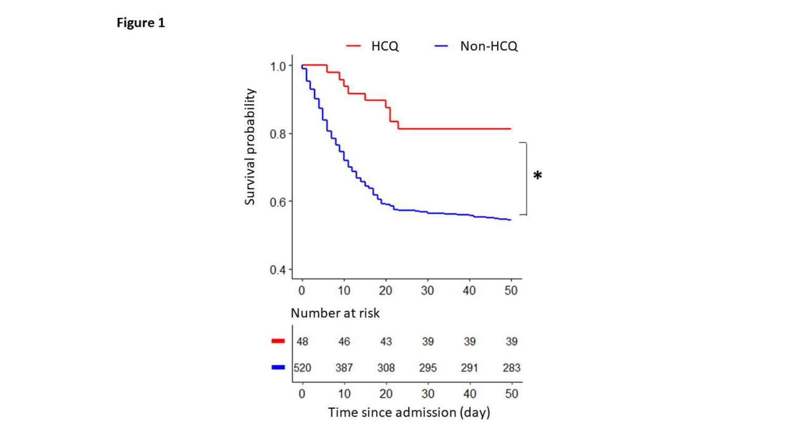Figure 1

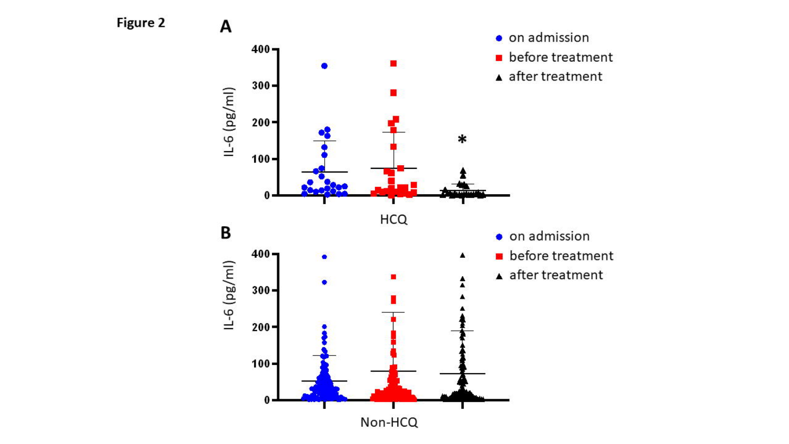